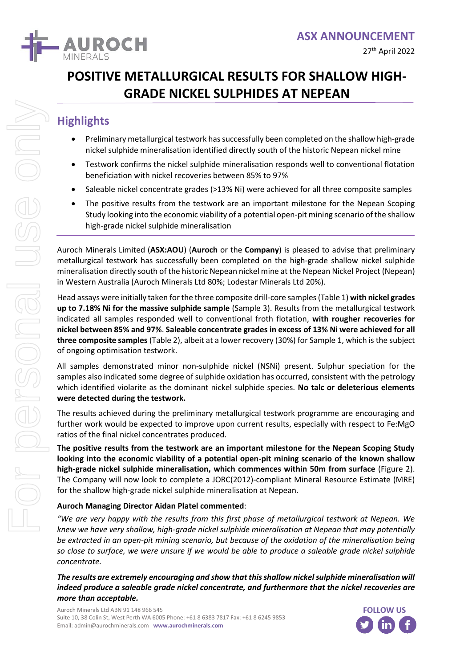

# **POSITIVE METALLURGICAL RESULTS FOR SHALLOW HIGH-GRADE NICKEL SULPHIDES AT NEPEAN**

## **Highlights**

- Preliminary metallurgical testwork has successfully been completed on the shallow high-grade nickel sulphide mineralisation identified directly south of the historic Nepean nickel mine
- Testwork confirms the nickel sulphide mineralisation responds well to conventional flotation beneficiation with nickel recoveries between 85% to 97%
- Saleable nickel concentrate grades (>13% Ni) were achieved for all three composite samples
- The positive results from the testwork are an important milestone for the Nepean Scoping Study looking into the economic viability of a potential open-pit mining scenario of the shallow high-grade nickel sulphide mineralisation

Auroch Minerals Limited (**ASX:AOU**) (**Auroch** or the **Company**) is pleased to advise that preliminary metallurgical testwork has successfully been completed on the high-grade shallow nickel sulphide mineralisation directly south of the historic Nepean nickel mine at the Nepean Nickel Project (Nepean) in Western Australia (Auroch Minerals Ltd 80%; Lodestar Minerals Ltd 20%).

Head assays were initially taken for the three composite drill-core samples (Table 1) **with nickel grades up to 7.18% Ni for the massive sulphide sample** (Sample 3). Results from the metallurgical testwork indicated all samples responded well to conventional froth flotation, **with rougher recoveries for nickel between 85% and 97%**. **Saleable concentrate grades in excess of 13% Ni were achieved for all three composite samples** (Table 2), albeit at a lower recovery (30%) for Sample 1, which is the subject of ongoing optimisation testwork.

All samples demonstrated minor non-sulphide nickel (NSNi) present. Sulphur speciation for the samples also indicated some degree of sulphide oxidation has occurred, consistent with the petrology which identified violarite as the dominant nickel sulphide species. **No talc or deleterious elements were detected during the testwork.**

The results achieved during the preliminary metallurgical testwork programme are encouraging and further work would be expected to improve upon current results, especially with respect to Fe:MgO ratios of the final nickel concentrates produced.

**The positive results from the testwork are an important milestone for the Nepean Scoping Study looking into the economic viability of a potential open-pit mining scenario of the known shallow high-grade nickel sulphide mineralisation, which commences within 50m from surface** (Figure 2). The Company will now look to complete a JORC(2012)-compliant Mineral Resource Estimate (MRE) for the shallow high-grade nickel sulphide mineralisation at Nepean.

#### **Auroch Managing Director Aidan Platel commented**:

*"We are very happy with the results from this first phase of metallurgical testwork at Nepean. We knew we have very shallow, high-grade nickel sulphide mineralisation at Nepean that may potentially be extracted in an open-pit mining scenario, but because of the oxidation of the mineralisation being so close to surface, we were unsure if we would be able to produce a saleable grade nickel sulphide concentrate.* 

*The results are extremely encouraging and show that this shallow nickel sulphide mineralisation will indeed produce a saleable grade nickel concentrate, and furthermore that the nickel recoveries are more than acceptable.*

Auroch Minerals Ltd ABN 91 148 966 545 Suite 10, 38 Colin St, West Perth WA 6005 Phone: +61 8 6383 7817 Fax: +61 8 6245 9853 Email: admin@aurochminerals.com **www.aurochminerals.com**

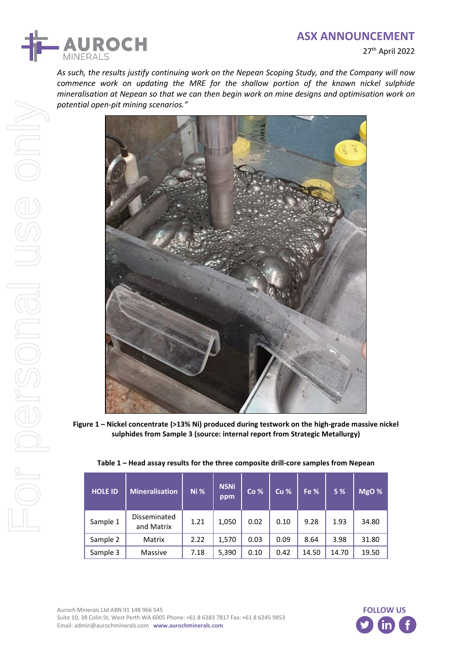

27th April 2022

*As such, the results justify continuing work on the Nepean Scoping Study, and the Company will now commence work on updating the MRE for the shallow portion of the known nickel sulphide mineralisation at Nepean so that we can then begin work on mine designs and optimisation work on potential open-pit mining scenarios."*



**Figure 1 – Nickel concentrate (>13% Ni) produced during testwork on the high-grade massive nickel sulphides from Sample 3 (source: internal report from Strategic Metallurgy)**

| <b>HOLE ID</b> | <b>Mineralisation</b>      | Ni%  | <b>NSNi</b><br>ppm | Co%  | Cu <sub>%</sub> | Fe %  | S <sub>%</sub> | MgO % |
|----------------|----------------------------|------|--------------------|------|-----------------|-------|----------------|-------|
| Sample 1       | Disseminated<br>and Matrix | 1.21 | 1,050              | 0.02 | 0.10            | 9.28  | 1.93           | 34.80 |
| Sample 2       | Matrix                     | 2.22 | 1,570              | 0.03 | 0.09            | 8.64  | 3.98           | 31.80 |
| Sample 3       | Massive                    | 7.18 | 5,390              | 0.10 | 0.42            | 14.50 | 14.70          | 19.50 |

**Table 1 – Head assay results for the three composite drill-core samples from Nepean**

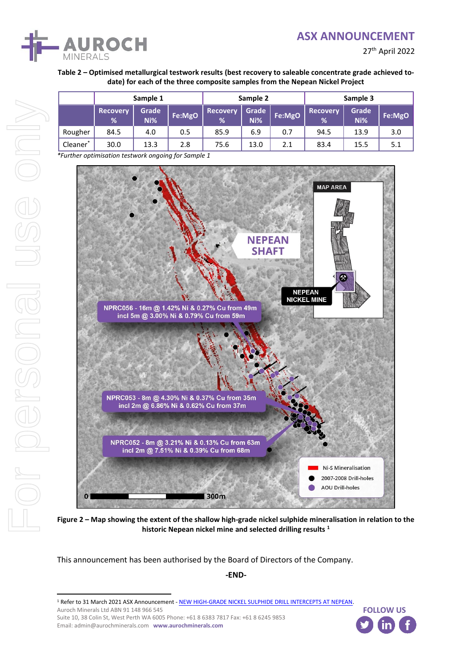

27th April 2022

#### **Table 2 – Optimised metallurgical testwork results (best recovery to saleable concentrate grade achieved todate) for each of the three composite samples from the Nepean Nickel Project**

|         | Sample 1             |              | Sample 2 |                      | Sample 3     |        |                      |              |        |
|---------|----------------------|--------------|----------|----------------------|--------------|--------|----------------------|--------------|--------|
|         | <b>Recovery</b><br>% | Grade<br>Ni% | Fe:MgO   | <b>Recovery</b><br>% | Grade<br>Ni% | Fe:MgO | <b>Recovery</b><br>% | Grade<br>Ni% | Fe:MgO |
| Rougher | 84.5                 | 4.0          | 0.5      | 85.9                 | 6.9          | 0.7    | 94.5                 | 13.9         | 3.0    |
| Cleaner | 30.0                 | 13.3         | 2.8      | 75.6                 | 13.0         | 2.1    | 83.4                 | 15.5         | 5.1    |

*\*Further optimisation testwork ongoing for Sample 1*



**Figure 2 – Map showing the extent of the shallow high-grade nickel sulphide mineralisation in relation to the historic Nepean nickel mine and selected drilling results <sup>1</sup>**

This announcement has been authorised by the Board of Directors of the Company.

**-END-**

<sup>1</sup> Refer to 31 March 2021 ASX Announcement - [NEW HIGH-GRADE NICKEL SULPHIDE DRILL INTERCEPTS AT NEPEAN.](https://cdn-api.markitdigital.com/apiman-gateway/ASX/asx-research/1.0/file/2924-02359188-6A1026809?access_token=83ff96335c2d45a094df02a206a39ff4)

Auroch Minerals Ltd ABN 91 148 966 545

Suite 10, 38 Colin St, West Perth WA 6005 Phone: +61 8 6383 7817 Fax: +61 8 6245 9853 Email: admin@aurochminerals.com **www.aurochminerals.com**

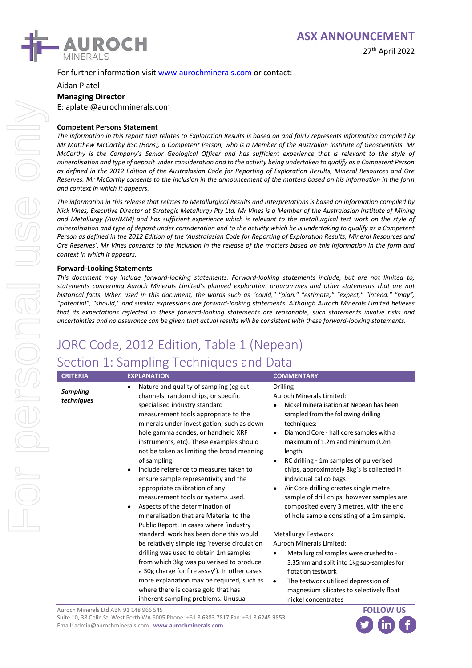

27th April 2022

For further information visi[t www.aurochminerals.com](http://www.aurochminerals.com/) or contact:

Aidan Platel **Managing Director** E: aplatel@aurochminerals.com

#### **Competent Persons Statement**

*The information in this report that relates to Exploration Results is based on and fairly represents information compiled by Mr Matthew McCarthy BSc (Hons), a Competent Person, who is a Member of the Australian Institute of Geoscientists. Mr McCarthy is the Company's Senior Geological Officer and has sufficient experience that is relevant to the style of mineralisation and type of deposit under consideration and to the activity being undertaken to qualify as a Competent Person as defined in the 2012 Edition of the Australasian Code for Reporting of Exploration Results, Mineral Resources and Ore Reserves. Mr McCarthy consents to the inclusion in the announcement of the matters based on his information in the form and context in which it appears.*

*The information in this release that relates to Metallurgical Results and Interpretations is based on information compiled by Nick Vines, Executive Director at Strategic Metallurgy Pty Ltd. Mr Vines is a Member of the Australasian Institute of Mining and Metallurgy (AusIMM) and has sufficient experience which is relevant to the metallurgical test work on the style of mineralisation and type of deposit under consideration and to the activity which he is undertaking to qualify as a Competent Person as defined in the 2012 Edition of the 'Australasian Code for Reporting of Exploration Results, Mineral Resources and Ore Reserves'. Mr Vines consents to the inclusion in the release of the matters based on this information in the form and context in which it appears.*

#### **Forward-Looking Statements**

*This document may include forward-looking statements. Forward-looking statements include, but are not limited to, statements concerning Auroch Minerals Limited's planned exploration programmes and other statements that are not historical facts. When used in this document, the words such as "could," "plan," "estimate," "expect," "intend," "may", "potential", "should," and similar expressions are forward-looking statements. Although Auroch Minerals Limited believes that its expectations reflected in these forward-looking statements are reasonable, such statements involve risks and uncertainties and no assurance can be given that actual results will be consistent with these forward-looking statements.*

# JORC Code, 2012 Edition, Table 1 (Nepean)

## Section 1: Sampling Techniques and Data

| <b>CRITERIA</b>               | <b>EXPLANATION</b>                                                                                                                                                                                                                                                                                                                                                                                                                                                                                                                                                                                                                                                                                                                                                                                                                                                                                                                                                                                              | <b>COMMENTARY</b>                                                                                                                                                                                                                                                                                                                                                                                                                                                                                                                                                                                                                                                                                                                                                                                                                                                                                   |
|-------------------------------|-----------------------------------------------------------------------------------------------------------------------------------------------------------------------------------------------------------------------------------------------------------------------------------------------------------------------------------------------------------------------------------------------------------------------------------------------------------------------------------------------------------------------------------------------------------------------------------------------------------------------------------------------------------------------------------------------------------------------------------------------------------------------------------------------------------------------------------------------------------------------------------------------------------------------------------------------------------------------------------------------------------------|-----------------------------------------------------------------------------------------------------------------------------------------------------------------------------------------------------------------------------------------------------------------------------------------------------------------------------------------------------------------------------------------------------------------------------------------------------------------------------------------------------------------------------------------------------------------------------------------------------------------------------------------------------------------------------------------------------------------------------------------------------------------------------------------------------------------------------------------------------------------------------------------------------|
| <b>Sampling</b><br>techniques | Nature and quality of sampling (eg cut<br>channels, random chips, or specific<br>specialised industry standard<br>measurement tools appropriate to the<br>minerals under investigation, such as down<br>hole gamma sondes, or handheld XRF<br>instruments, etc). These examples should<br>not be taken as limiting the broad meaning<br>of sampling.<br>Include reference to measures taken to<br>٠<br>ensure sample representivity and the<br>appropriate calibration of any<br>measurement tools or systems used.<br>Aspects of the determination of<br>٠<br>mineralisation that are Material to the<br>Public Report. In cases where 'industry<br>standard' work has been done this would<br>be relatively simple (eg 'reverse circulation<br>drilling was used to obtain 1m samples<br>from which 3kg was pulverised to produce<br>a 30g charge for fire assay'). In other cases<br>more explanation may be required, such as<br>where there is coarse gold that has<br>inherent sampling problems. Unusual | <b>Drilling</b><br>Auroch Minerals Limited:<br>Nickel mineralisation at Nepean has been<br>sampled from the following drilling<br>techniques:<br>Diamond Core - half core samples with a<br>$\bullet$<br>maximum of 1.2m and minimum 0.2m<br>length.<br>RC drilling - 1m samples of pulverised<br>$\bullet$<br>chips, approximately 3kg's is collected in<br>individual calico bags<br>Air Core drilling creates single metre<br>$\bullet$<br>sample of drill chips; however samples are<br>composited every 3 metres, with the end<br>of hole sample consisting of a 1m sample.<br><b>Metallurgy Testwork</b><br><b>Auroch Minerals Limited:</b><br>Metallurgical samples were crushed to -<br>$\bullet$<br>3.35mm and split into 1kg sub-samples for<br>flotation testwork<br>The testwork utilised depression of<br>$\bullet$<br>magnesium silicates to selectively float<br>nickel concentrates |

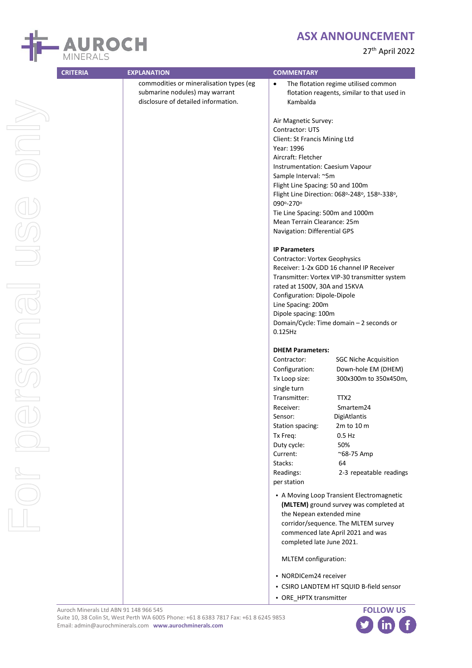

|  | AUROCH<br><b>MINERALS</b> |
|--|---------------------------|
|--|---------------------------|

|                | commodities or mineralisation types (eg<br>submarine nodules) may warrant<br>disclosure of detailed information. | The flotation regime utilised common<br>$\bullet$<br>flotation reagents, similar to that used in<br>Kambalda |
|----------------|------------------------------------------------------------------------------------------------------------------|--------------------------------------------------------------------------------------------------------------|
| JOU            |                                                                                                                  | Air Magnetic Survey:                                                                                         |
|                |                                                                                                                  | Contractor: UTS                                                                                              |
|                |                                                                                                                  | Client: St Francis Mining Ltd                                                                                |
|                |                                                                                                                  | Year: 1996                                                                                                   |
|                |                                                                                                                  | Aircraft: Fletcher                                                                                           |
|                |                                                                                                                  | Instrumentation: Caesium Vapour                                                                              |
|                |                                                                                                                  | Sample Interval: ~5m                                                                                         |
|                |                                                                                                                  | Flight Line Spacing: 50 and 100m                                                                             |
|                |                                                                                                                  | Flight Line Direction: 068°-248°, 158°-338°,<br>090°-270°                                                    |
|                |                                                                                                                  | Tie Line Spacing: 500m and 1000m                                                                             |
|                |                                                                                                                  | Mean Terrain Clearance: 25m                                                                                  |
|                |                                                                                                                  | Navigation: Differential GPS                                                                                 |
|                |                                                                                                                  | <b>IP Parameters</b>                                                                                         |
|                |                                                                                                                  | <b>Contractor: Vortex Geophysics</b>                                                                         |
|                |                                                                                                                  | Receiver: 1-2x GDD 16 channel IP Receiver                                                                    |
|                |                                                                                                                  | Transmitter: Vortex VIP-30 transmitter system<br>rated at 1500V, 30A and 15KVA                               |
|                |                                                                                                                  | Configuration: Dipole-Dipole                                                                                 |
|                |                                                                                                                  | Line Spacing: 200m                                                                                           |
|                |                                                                                                                  | Dipole spacing: 100m                                                                                         |
|                |                                                                                                                  | Domain/Cycle: Time domain - 2 seconds or                                                                     |
| $  \bigcirc  $ |                                                                                                                  | $0.125$ Hz                                                                                                   |
|                |                                                                                                                  | <b>DHEM Parameters:</b>                                                                                      |
|                |                                                                                                                  | Contractor:<br><b>SGC Niche Acquisition</b>                                                                  |
|                |                                                                                                                  | Configuration:<br>Down-hole EM (DHEM)                                                                        |
|                |                                                                                                                  | Tx Loop size:<br>300x300m to 350x450m,                                                                       |
|                |                                                                                                                  | single turn                                                                                                  |
|                |                                                                                                                  | TTX2<br>Transmitter:                                                                                         |
|                |                                                                                                                  | Receiver:<br>Smartem24                                                                                       |
|                |                                                                                                                  | Sensor:<br>DigiAtlantis                                                                                      |
|                |                                                                                                                  | 2m to 10 m<br>Station spacing:                                                                               |
|                |                                                                                                                  | $0.5$ Hz<br>Tx Freq:                                                                                         |
|                |                                                                                                                  | Duty cycle:<br>50%                                                                                           |
|                |                                                                                                                  | Current:<br>~68-75 Amp<br>Stacks:<br>64                                                                      |
|                |                                                                                                                  | Readings:<br>2-3 repeatable readings                                                                         |
|                |                                                                                                                  | per station                                                                                                  |
|                |                                                                                                                  | • A Moving Loop Transient Electromagnetic<br>(MLTEM) ground survey was completed at                          |
|                |                                                                                                                  | the Nepean extended mine                                                                                     |
|                |                                                                                                                  | corridor/sequence. The MLTEM survey                                                                          |
|                |                                                                                                                  | commenced late April 2021 and was                                                                            |
|                |                                                                                                                  | completed late June 2021.                                                                                    |
|                |                                                                                                                  | MLTEM configuration:                                                                                         |
|                |                                                                                                                  | • NORDICem24 receiver                                                                                        |
|                |                                                                                                                  | • CSIRO LANDTEM HT SQUID B-field sensor                                                                      |
|                |                                                                                                                  | • ORE_HPTX transmitter                                                                                       |
|                |                                                                                                                  |                                                                                                              |

**CRITERIA EXPLANATION COMMENTARY**

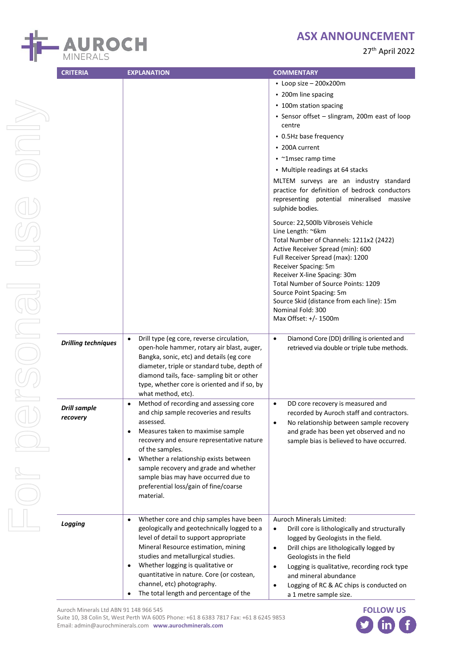



|               | <b>CRITERIA</b>                 |                                                                                                                                                                                                                                                                                                                                                                                              |                                                                                                                                                                                                                                                                                                                                                                                                                                                                                                                                                                                                                    |
|---------------|---------------------------------|----------------------------------------------------------------------------------------------------------------------------------------------------------------------------------------------------------------------------------------------------------------------------------------------------------------------------------------------------------------------------------------------|--------------------------------------------------------------------------------------------------------------------------------------------------------------------------------------------------------------------------------------------------------------------------------------------------------------------------------------------------------------------------------------------------------------------------------------------------------------------------------------------------------------------------------------------------------------------------------------------------------------------|
| <b>SURITY</b> |                                 | <b>EXPLANATION</b>                                                                                                                                                                                                                                                                                                                                                                           | <b>COMMENTARY</b><br>$\cdot$ Loop size - 200x200m<br>• 200m line spacing<br>• 100m station spacing<br>• Sensor offset - slingram, 200m east of loop<br>centre<br>• 0.5Hz base frequency<br>• 200A current<br>• ~1msec ramp time<br>• Multiple readings at 64 stacks<br>MLTEM surveys are an industry standard<br>practice for definition of bedrock conductors<br>representing potential mineralised<br>massive<br>sulphide bodies.<br>Source: 22,500lb Vibroseis Vehicle<br>Line Length: ~6km<br>Total Number of Channels: 1211x2 (2422)<br>Active Receiver Spread (min): 600<br>Full Receiver Spread (max): 1200 |
| <b>PIUIC</b>  | <b>Drilling techniques</b>      | Drill type (eg core, reverse circulation,<br>$\bullet$                                                                                                                                                                                                                                                                                                                                       | Receiver Spacing: 5m<br>Receiver X-line Spacing: 30m<br>Total Number of Source Points: 1209<br>Source Point Spacing: 5m<br>Source Skid (distance from each line): 15m<br>Nominal Fold: 300<br>Max Offset: +/- 1500m<br>Diamond Core (DD) drilling is oriented and<br>$\bullet$                                                                                                                                                                                                                                                                                                                                     |
|               |                                 | open-hole hammer, rotary air blast, auger,<br>Bangka, sonic, etc) and details (eg core<br>diameter, triple or standard tube, depth of<br>diamond tails, face-sampling bit or other<br>type, whether core is oriented and if so, by<br>what method, etc).                                                                                                                                     | retrieved via double or triple tube methods.                                                                                                                                                                                                                                                                                                                                                                                                                                                                                                                                                                       |
|               | <b>Drill sample</b><br>recovery | Method of recording and assessing core<br>٠<br>and chip sample recoveries and results<br>assessed.<br>Measures taken to maximise sample<br>recovery and ensure representative nature<br>of the samples.<br>Whether a relationship exists between<br>٠<br>sample recovery and grade and whether<br>sample bias may have occurred due to<br>preferential loss/gain of fine/coarse<br>material. | $\bullet$<br>DD core recovery is measured and<br>recorded by Auroch staff and contractors.<br>No relationship between sample recovery<br>$\bullet$<br>and grade has been yet observed and no<br>sample bias is believed to have occurred.                                                                                                                                                                                                                                                                                                                                                                          |
|               | Logging                         | Whether core and chip samples have been<br>$\bullet$<br>geologically and geotechnically logged to a<br>level of detail to support appropriate<br>Mineral Resource estimation, mining<br>studies and metallurgical studies.<br>Whether logging is qualitative or<br>٠<br>quantitative in nature. Core (or costean,<br>channel, etc) photography.<br>The total length and percentage of the    | Auroch Minerals Limited:<br>Drill core is lithologically and structurally<br>$\bullet$<br>logged by Geologists in the field.<br>Drill chips are lithologically logged by<br>$\bullet$<br>Geologists in the field<br>Logging is qualitative, recording rock type<br>$\bullet$<br>and mineral abundance<br>Logging of RC & AC chips is conducted on<br>٠<br>a 1 metre sample size.                                                                                                                                                                                                                                   |

Suite 10, 38 Colin St, West Perth WA 6005 Phone: +61 8 6383 7817 Fax: +61 8 6245 9853 Email: admin@aurochminerals.com **www.aurochminerals.com**

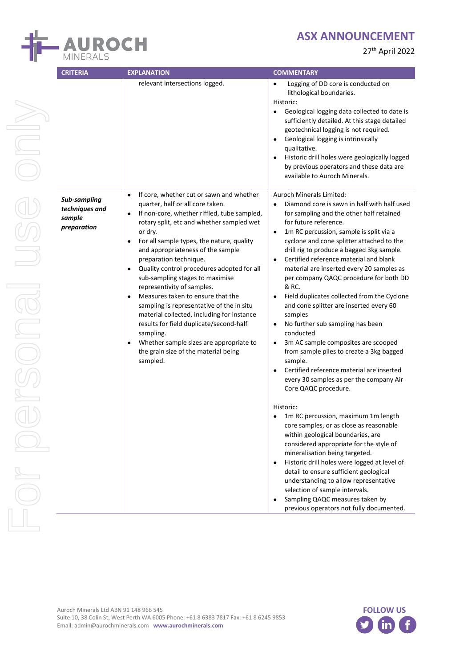

| <b>CRITERIA</b>                                         | <b>EXPLANATION</b>                                                                                                                                                                                                                                                                                                                                                                                                                                                                                                                                                                                                                                                                                                                                                          | <b>COMMENTARY</b>                                                                                                                                                                                                                                                                                                                                                                                                                                                                                                                                                                                                                                                                                                                                                                                                                                                                                                                                                                                                                                                                                                                                                                                                                                                                                                                                                      |
|---------------------------------------------------------|-----------------------------------------------------------------------------------------------------------------------------------------------------------------------------------------------------------------------------------------------------------------------------------------------------------------------------------------------------------------------------------------------------------------------------------------------------------------------------------------------------------------------------------------------------------------------------------------------------------------------------------------------------------------------------------------------------------------------------------------------------------------------------|------------------------------------------------------------------------------------------------------------------------------------------------------------------------------------------------------------------------------------------------------------------------------------------------------------------------------------------------------------------------------------------------------------------------------------------------------------------------------------------------------------------------------------------------------------------------------------------------------------------------------------------------------------------------------------------------------------------------------------------------------------------------------------------------------------------------------------------------------------------------------------------------------------------------------------------------------------------------------------------------------------------------------------------------------------------------------------------------------------------------------------------------------------------------------------------------------------------------------------------------------------------------------------------------------------------------------------------------------------------------|
|                                                         | relevant intersections logged.                                                                                                                                                                                                                                                                                                                                                                                                                                                                                                                                                                                                                                                                                                                                              | Logging of DD core is conducted on<br>lithological boundaries.<br>Historic:<br>Geological logging data collected to date is<br>sufficiently detailed. At this stage detailed<br>geotechnical logging is not required.<br>Geological logging is intrinsically<br>qualitative.<br>Historic drill holes were geologically logged<br>by previous operators and these data are<br>available to Auroch Minerals.                                                                                                                                                                                                                                                                                                                                                                                                                                                                                                                                                                                                                                                                                                                                                                                                                                                                                                                                                             |
| Sub-sampling<br>techniques and<br>sample<br>preparation | If core, whether cut or sawn and whether<br>$\bullet$<br>quarter, half or all core taken.<br>If non-core, whether riffled, tube sampled,<br>$\bullet$<br>rotary split, etc and whether sampled wet<br>or dry.<br>For all sample types, the nature, quality<br>$\bullet$<br>and appropriateness of the sample<br>preparation technique.<br>Quality control procedures adopted for all<br>$\bullet$<br>sub-sampling stages to maximise<br>representivity of samples.<br>Measures taken to ensure that the<br>$\bullet$<br>sampling is representative of the in situ<br>material collected, including for instance<br>results for field duplicate/second-half<br>sampling.<br>Whether sample sizes are appropriate to<br>٠<br>the grain size of the material being<br>sampled. | <b>Auroch Minerals Limited:</b><br>Diamond core is sawn in half with half used<br>$\bullet$<br>for sampling and the other half retained<br>for future reference.<br>1m RC percussion, sample is split via a<br>$\bullet$<br>cyclone and cone splitter attached to the<br>drill rig to produce a bagged 3kg sample.<br>Certified reference material and blank<br>$\bullet$<br>material are inserted every 20 samples as<br>per company QAQC procedure for both DD<br>& RC.<br>Field duplicates collected from the Cyclone<br>and cone splitter are inserted every 60<br>samples<br>No further sub sampling has been<br>$\bullet$<br>conducted<br>3m AC sample composites are scooped<br>$\bullet$<br>from sample piles to create a 3kg bagged<br>sample.<br>Certified reference material are inserted<br>every 30 samples as per the company Air<br>Core QAQC procedure.<br>Historic:<br>1m RC percussion, maximum 1m length<br>core samples, or as close as reasonable<br>within geological boundaries, are<br>considered appropriate for the style of<br>mineralisation being targeted.<br>Historic drill holes were logged at level of<br>$\bullet$<br>detail to ensure sufficient geological<br>understanding to allow representative<br>selection of sample intervals.<br>Sampling QAQC measures taken by<br>$\bullet$<br>previous operators not fully documented. |



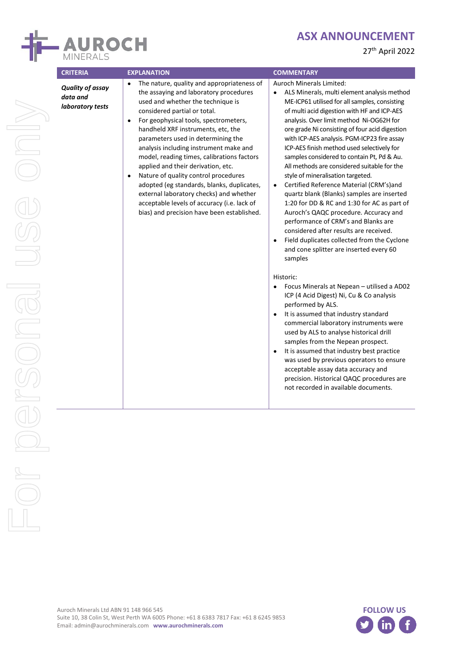

|  |  | 27th April 2022 |
|--|--|-----------------|
|--|--|-----------------|

| <b>CRITERIA</b>                                         | <b>EXPLANATION</b>                                                                                                                                                                                                                                                                                                                                                                                                                                                                                                                                                                                                                                                                | <b>COMMENTARY</b>                                                                                                                                                                                                                                                                                                                                                                                                                                                                                                                                                                                                                                                                                                                                                                                                                                                                                            |
|---------------------------------------------------------|-----------------------------------------------------------------------------------------------------------------------------------------------------------------------------------------------------------------------------------------------------------------------------------------------------------------------------------------------------------------------------------------------------------------------------------------------------------------------------------------------------------------------------------------------------------------------------------------------------------------------------------------------------------------------------------|--------------------------------------------------------------------------------------------------------------------------------------------------------------------------------------------------------------------------------------------------------------------------------------------------------------------------------------------------------------------------------------------------------------------------------------------------------------------------------------------------------------------------------------------------------------------------------------------------------------------------------------------------------------------------------------------------------------------------------------------------------------------------------------------------------------------------------------------------------------------------------------------------------------|
| <b>Quality of assay</b><br>data and<br>laboratory tests | The nature, quality and appropriateness of<br>$\bullet$<br>the assaying and laboratory procedures<br>used and whether the technique is<br>considered partial or total.<br>For geophysical tools, spectrometers,<br>$\bullet$<br>handheld XRF instruments, etc, the<br>parameters used in determining the<br>analysis including instrument make and<br>model, reading times, calibrations factors<br>applied and their derivation, etc.<br>Nature of quality control procedures<br>$\bullet$<br>adopted (eg standards, blanks, duplicates,<br>external laboratory checks) and whether<br>acceptable levels of accuracy (i.e. lack of<br>bias) and precision have been established. | <b>Auroch Minerals Limited:</b><br>ALS Minerals, multi element analysis method<br>$\bullet$<br>ME-ICP61 utilised for all samples, consisting<br>of multi acid digestion with HF and ICP-AES<br>analysis. Over limit method Ni-OG62H for<br>ore grade Ni consisting of four acid digestion<br>with ICP-AES analysis. PGM-ICP23 fire assay<br>ICP-AES finish method used selectively for<br>samples considered to contain Pt, Pd & Au.<br>All methods are considered suitable for the<br>style of mineralisation targeted.<br>Certified Reference Material (CRM's)and<br>$\bullet$<br>quartz blank (Blanks) samples are inserted<br>1:20 for DD & RC and 1:30 for AC as part of<br>Auroch's QAQC procedure. Accuracy and<br>performance of CRM's and Blanks are<br>considered after results are received.<br>Field duplicates collected from the Cyclone<br>and cone splitter are inserted every 60<br>samples |
|                                                         |                                                                                                                                                                                                                                                                                                                                                                                                                                                                                                                                                                                                                                                                                   | Historic:<br>Focus Minerals at Nepean - utilised a AD02<br>ICP (4 Acid Digest) Ni, Cu & Co analysis<br>performed by ALS.<br>It is assumed that industry standard<br>$\bullet$<br>commercial laboratory instruments were<br>used by ALS to analyse historical drill<br>samples from the Nepean prospect.<br>It is assumed that industry best practice<br>$\bullet$<br>was used by previous operators to ensure<br>acceptable assay data accuracy and<br>precision. Historical QAQC procedures are<br>not recorded in available documents.                                                                                                                                                                                                                                                                                                                                                                     |

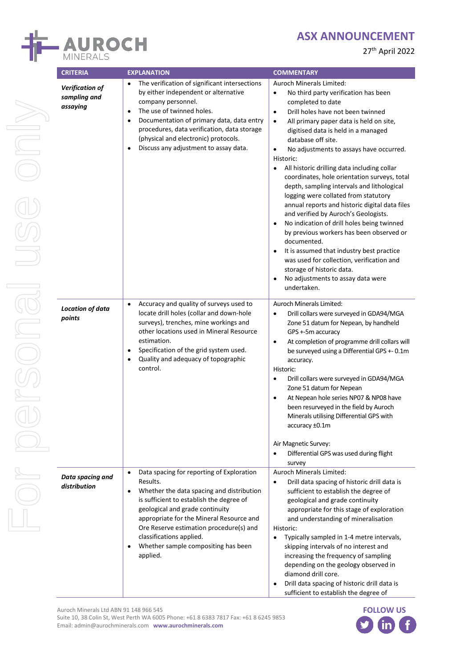

27th April 2022

| <b>CRITERIA</b>                                    | <b>EXPLANATION</b>                                                                                                                                                                                                                                                                                                                                                        | <b>COMMENTARY</b>                                                                                                                                                                                                                                                                                                                                                                                                                                                                                                                                                                                                                                                                                                                                                                                                                                                                                                                                                     |  |  |
|----------------------------------------------------|---------------------------------------------------------------------------------------------------------------------------------------------------------------------------------------------------------------------------------------------------------------------------------------------------------------------------------------------------------------------------|-----------------------------------------------------------------------------------------------------------------------------------------------------------------------------------------------------------------------------------------------------------------------------------------------------------------------------------------------------------------------------------------------------------------------------------------------------------------------------------------------------------------------------------------------------------------------------------------------------------------------------------------------------------------------------------------------------------------------------------------------------------------------------------------------------------------------------------------------------------------------------------------------------------------------------------------------------------------------|--|--|
| <b>Verification of</b><br>sampling and<br>assaying | The verification of significant intersections<br>by either independent or alternative<br>company personnel.<br>The use of twinned holes.<br>$\bullet$<br>Documentation of primary data, data entry<br>$\bullet$<br>procedures, data verification, data storage<br>(physical and electronic) protocols.<br>Discuss any adjustment to assay data.<br>٠                      | Auroch Minerals Limited:<br>No third party verification has been<br>$\bullet$<br>completed to date<br>Drill holes have not been twinned<br>$\bullet$<br>All primary paper data is held on site,<br>$\bullet$<br>digitised data is held in a managed<br>database off site.<br>No adjustments to assays have occurred.<br>$\bullet$<br>Historic:<br>All historic drilling data including collar<br>$\bullet$<br>coordinates, hole orientation surveys, total<br>depth, sampling intervals and lithological<br>logging were collated from statutory<br>annual reports and historic digital data files<br>and verified by Auroch's Geologists.<br>No indication of drill holes being twinned<br>$\bullet$<br>by previous workers has been observed or<br>documented.<br>It is assumed that industry best practice<br>$\bullet$<br>was used for collection, verification and<br>storage of historic data.<br>No adjustments to assay data were<br>$\bullet$<br>undertaken. |  |  |
| <b>Location of data</b><br>points                  | Accuracy and quality of surveys used to<br>$\bullet$<br>locate drill holes (collar and down-hole<br>surveys), trenches, mine workings and<br>other locations used in Mineral Resource<br>estimation.<br>Specification of the grid system used.<br>$\bullet$<br>Quality and adequacy of topographic<br>$\bullet$<br>control.                                               | Auroch Minerals Limited:<br>Drill collars were surveyed in GDA94/MGA<br>$\bullet$<br>Zone 51 datum for Nepean, by handheld<br>GPS +-5m accuracy<br>At completion of programme drill collars will<br>$\bullet$<br>be surveyed using a Differential GPS +- 0.1m<br>accuracy.<br>Historic:<br>Drill collars were surveyed in GDA94/MGA<br>$\bullet$<br>Zone 51 datum for Nepean<br>At Nepean hole series NP07 & NP08 have<br>$\bullet$<br>been resurveyed in the field by Auroch<br>Minerals utilising Differential GPS with<br>accuracy ±0.1m<br>Air Magnetic Survey:<br>Differential GPS was used during flight<br>$\bullet$<br>survey                                                                                                                                                                                                                                                                                                                                 |  |  |
| Data spacing and<br>distribution                   | Data spacing for reporting of Exploration<br>$\bullet$<br>Results.<br>Whether the data spacing and distribution<br>٠<br>is sufficient to establish the degree of<br>geological and grade continuity<br>appropriate for the Mineral Resource and<br>Ore Reserve estimation procedure(s) and<br>classifications applied.<br>Whether sample compositing has been<br>applied. | <b>Auroch Minerals Limited:</b><br>Drill data spacing of historic drill data is<br>$\bullet$<br>sufficient to establish the degree of<br>geological and grade continuity<br>appropriate for this stage of exploration<br>and understanding of mineralisation<br>Historic:<br>Typically sampled in 1-4 metre intervals,<br>$\bullet$<br>skipping intervals of no interest and<br>increasing the frequency of sampling<br>depending on the geology observed in<br>diamond drill core.<br>Drill data spacing of historic drill data is<br>sufficient to establish the degree of                                                                                                                                                                                                                                                                                                                                                                                          |  |  |

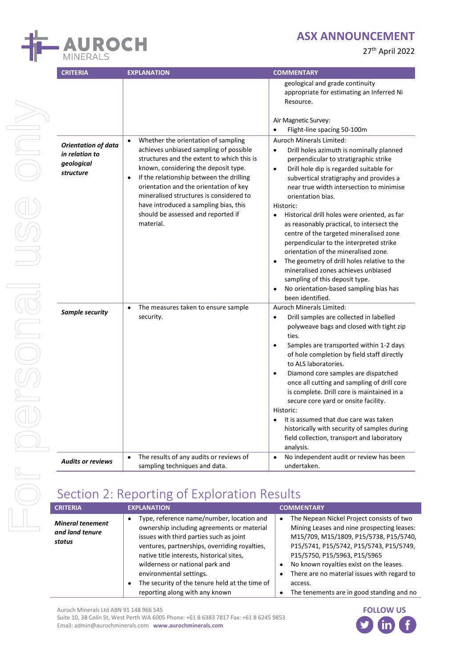

27th April 2022

| <b>CRITERIA</b>                                                         | <b>EXPLANATION</b>                                                                                                                                                                                                                                                                                                                                                                                                         | <b>COMMENTARY</b>                                                                                                                                                                                                                                                                                                                                                                                                                                                                                                                                                                                                                                                                                                            |
|-------------------------------------------------------------------------|----------------------------------------------------------------------------------------------------------------------------------------------------------------------------------------------------------------------------------------------------------------------------------------------------------------------------------------------------------------------------------------------------------------------------|------------------------------------------------------------------------------------------------------------------------------------------------------------------------------------------------------------------------------------------------------------------------------------------------------------------------------------------------------------------------------------------------------------------------------------------------------------------------------------------------------------------------------------------------------------------------------------------------------------------------------------------------------------------------------------------------------------------------------|
|                                                                         |                                                                                                                                                                                                                                                                                                                                                                                                                            | geological and grade continuity<br>appropriate for estimating an Inferred Ni<br>Resource.<br>Air Magnetic Survey:<br>Flight-line spacing 50-100m                                                                                                                                                                                                                                                                                                                                                                                                                                                                                                                                                                             |
| <b>Orientation of data</b><br>in relation to<br>geological<br>structure | Whether the orientation of sampling<br>$\bullet$<br>achieves unbiased sampling of possible<br>structures and the extent to which this is<br>known, considering the deposit type.<br>If the relationship between the drilling<br>$\bullet$<br>orientation and the orientation of key<br>mineralised structures is considered to<br>have introduced a sampling bias, this<br>should be assessed and reported if<br>material. | Auroch Minerals Limited:<br>Drill holes azimuth is nominally planned<br>$\bullet$<br>perpendicular to stratigraphic strike<br>Drill hole dip is regarded suitable for<br>$\bullet$<br>subvertical stratigraphy and provides a<br>near true width intersection to minimise<br>orientation bias.<br>Historic:<br>Historical drill holes were oriented, as far<br>as reasonably practical, to intersect the<br>centre of the targeted mineralised zone<br>perpendicular to the interpreted strike<br>orientation of the mineralised zone.<br>The geometry of drill holes relative to the<br>mineralised zones achieves unbiased<br>sampling of this deposit type.<br>No orientation-based sampling bias has<br>been identified. |
| Sample security                                                         | The measures taken to ensure sample<br>$\bullet$<br>security.                                                                                                                                                                                                                                                                                                                                                              | <b>Auroch Minerals Limited:</b><br>Drill samples are collected in labelled<br>$\bullet$<br>polyweave bags and closed with tight zip<br>ties.<br>Samples are transported within 1-2 days<br>of hole completion by field staff directly<br>to ALS laboratories.<br>Diamond core samples are dispatched<br>$\bullet$<br>once all cutting and sampling of drill core<br>is complete. Drill core is maintained in a<br>secure core yard or onsite facility.<br>Historic:<br>It is assumed that due care was taken<br>historically with security of samples during<br>field collection, transport and laboratory<br>analysis.                                                                                                      |
| Audits or reviews                                                       | The results of any audits or reviews of<br>$\bullet$<br>sampling techniques and data.                                                                                                                                                                                                                                                                                                                                      | No independent audit or review has been<br>undertaken.                                                                                                                                                                                                                                                                                                                                                                                                                                                                                                                                                                                                                                                                       |
|                                                                         | Section 2: Reporting of Exploration Results                                                                                                                                                                                                                                                                                                                                                                                |                                                                                                                                                                                                                                                                                                                                                                                                                                                                                                                                                                                                                                                                                                                              |
| <b>CRITERIA</b>                                                         | <b>EXPLANATION</b>                                                                                                                                                                                                                                                                                                                                                                                                         | <b>COMMENTARY</b>                                                                                                                                                                                                                                                                                                                                                                                                                                                                                                                                                                                                                                                                                                            |
| <b>Mineral tenement</b>                                                 | Type, reference name/number, location and<br>ownership including agreements or material                                                                                                                                                                                                                                                                                                                                    | The Nepean Nickel Project consists of two<br>٠<br>Mining Leases and nine prospecting leases:                                                                                                                                                                                                                                                                                                                                                                                                                                                                                                                                                                                                                                 |

# Section 2: Reporting of Exploration Results

| <b>CRITERIA</b>                                      | <b>EXPLANATION</b>                                                                                                                                                                                                                                                                                                                                                                                   | <b>COMMENTARY</b>                                                                                                                                                                                                                                                                                                                                                           |
|------------------------------------------------------|------------------------------------------------------------------------------------------------------------------------------------------------------------------------------------------------------------------------------------------------------------------------------------------------------------------------------------------------------------------------------------------------------|-----------------------------------------------------------------------------------------------------------------------------------------------------------------------------------------------------------------------------------------------------------------------------------------------------------------------------------------------------------------------------|
| <b>Mineral tenement</b><br>and land tenure<br>status | Type, reference name/number, location and<br>٠<br>ownership including agreements or material<br>issues with third parties such as joint<br>ventures, partnerships, overriding royalties,<br>native title interests, historical sites,<br>wilderness or national park and<br>environmental settings.<br>The security of the tenure held at the time of<br>$\bullet$<br>reporting along with any known | The Nepean Nickel Project consists of two<br>$\bullet$<br>Mining Leases and nine prospecting leases:<br>M15/709, M15/1809, P15/5738, P15/5740,<br>P15/5741, P15/5742, P15/5743, P15/5749,<br>P15/5750, P15/5963, P15/5965<br>No known royalties exist on the leases.<br>There are no material issues with regard to<br>access.<br>The tenements are in good standing and no |

Auroch Minerals Ltd ABN 91 148 966 545

Suite 10, 38 Colin St, West Perth WA 6005 Phone: +61 8 6383 7817 Fax: +61 8 6245 9853 Email: admin@aurochminerals.com **www.aurochminerals.com**

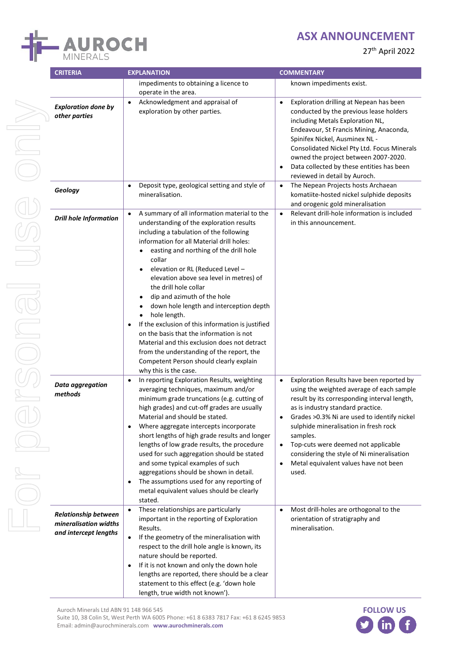

| <b>CRITERIA</b>                                                               | <b>EXPLANATION</b>                                                                                                                                                                                                                                                                                                                                                                                                                                                                                                                                                                                                                                                                                                                              | <b>COMMENTARY</b>                                                                                                                                                                                                                                                                                                                                                                                                                                      |
|-------------------------------------------------------------------------------|-------------------------------------------------------------------------------------------------------------------------------------------------------------------------------------------------------------------------------------------------------------------------------------------------------------------------------------------------------------------------------------------------------------------------------------------------------------------------------------------------------------------------------------------------------------------------------------------------------------------------------------------------------------------------------------------------------------------------------------------------|--------------------------------------------------------------------------------------------------------------------------------------------------------------------------------------------------------------------------------------------------------------------------------------------------------------------------------------------------------------------------------------------------------------------------------------------------------|
|                                                                               | impediments to obtaining a licence to                                                                                                                                                                                                                                                                                                                                                                                                                                                                                                                                                                                                                                                                                                           | known impediments exist.                                                                                                                                                                                                                                                                                                                                                                                                                               |
|                                                                               | operate in the area.                                                                                                                                                                                                                                                                                                                                                                                                                                                                                                                                                                                                                                                                                                                            |                                                                                                                                                                                                                                                                                                                                                                                                                                                        |
| <b>Exploration done by</b><br>other parties                                   | Acknowledgment and appraisal of<br>$\bullet$<br>exploration by other parties.                                                                                                                                                                                                                                                                                                                                                                                                                                                                                                                                                                                                                                                                   | Exploration drilling at Nepean has been<br>conducted by the previous lease holders<br>including Metals Exploration NL,<br>Endeavour, St Francis Mining, Anaconda,<br>Spinifex Nickel, Ausminex NL -<br>Consolidated Nickel Pty Ltd. Focus Minerals<br>owned the project between 2007-2020.<br>Data collected by these entities has been<br>reviewed in detail by Auroch.                                                                               |
| Geology                                                                       | Deposit type, geological setting and style of<br>$\bullet$<br>mineralisation.                                                                                                                                                                                                                                                                                                                                                                                                                                                                                                                                                                                                                                                                   | The Nepean Projects hosts Archaean<br>$\bullet$<br>komatiite-hosted nickel sulphide deposits<br>and orogenic gold mineralisation                                                                                                                                                                                                                                                                                                                       |
| <b>Drill hole Information</b>                                                 | A summary of all information material to the<br>$\bullet$<br>understanding of the exploration results<br>including a tabulation of the following<br>information for all Material drill holes:<br>easting and northing of the drill hole<br>collar<br>elevation or RL (Reduced Level -<br>elevation above sea level in metres) of<br>the drill hole collar<br>dip and azimuth of the hole<br>down hole length and interception depth<br>hole length.<br>$\bullet$<br>If the exclusion of this information is justified<br>$\bullet$<br>on the basis that the information is not<br>Material and this exclusion does not detract<br>from the understanding of the report, the<br>Competent Person should clearly explain<br>why this is the case. | Relevant drill-hole information is included<br>in this announcement.                                                                                                                                                                                                                                                                                                                                                                                   |
| Data aggregation<br>methods                                                   | In reporting Exploration Results, weighting<br>$\bullet$<br>averaging techniques, maximum and/or<br>minimum grade truncations (e.g. cutting of<br>high grades) and cut-off grades are usually<br>Material and should be stated.<br>Where aggregate intercepts incorporate<br>short lengths of high grade results and longer<br>lengths of low grade results, the procedure<br>used for such aggregation should be stated<br>and some typical examples of such<br>aggregations should be shown in detail.<br>The assumptions used for any reporting of<br>$\bullet$<br>metal equivalent values should be clearly<br>stated.                                                                                                                      | Exploration Results have been reported by<br>$\bullet$<br>using the weighted average of each sample<br>result by its corresponding interval length,<br>as is industry standard practice.<br>Grades > 0.3% Ni are used to identify nickel<br>٠<br>sulphide mineralisation in fresh rock<br>samples.<br>Top-cuts were deemed not applicable<br>$\bullet$<br>considering the style of Ni mineralisation<br>Metal equivalent values have not been<br>used. |
| <b>Relationship between</b><br>mineralisation widths<br>and intercept lengths | These relationships are particularly<br>$\bullet$<br>important in the reporting of Exploration<br>Results.<br>If the geometry of the mineralisation with<br>$\bullet$<br>respect to the drill hole angle is known, its<br>nature should be reported.<br>If it is not known and only the down hole<br>$\bullet$<br>lengths are reported, there should be a clear<br>statement to this effect (e.g. 'down hole                                                                                                                                                                                                                                                                                                                                    | Most drill-holes are orthogonal to the<br>$\bullet$<br>orientation of stratigraphy and<br>mineralisation.                                                                                                                                                                                                                                                                                                                                              |